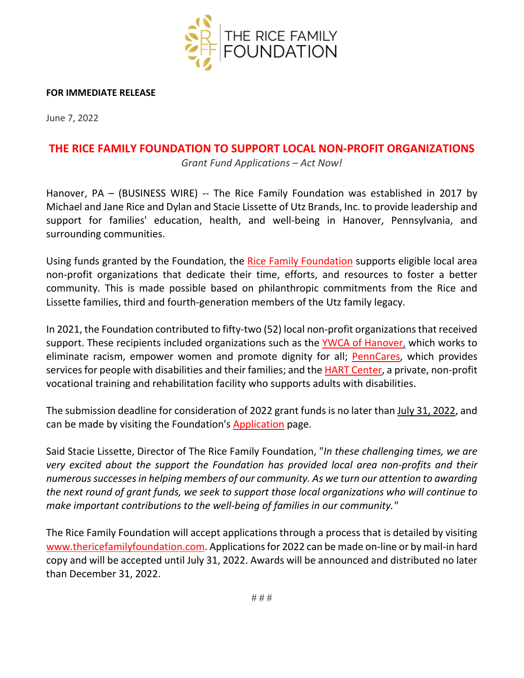

## **FOR IMMEDIATE RELEASE**

June 7, 2022

## **THE RICE FAMILY FOUNDATION TO SUPPORT LOCAL NON-PROFIT ORGANIZATIONS**

*Grant Fund Applications – Act Now!*

Hanover, PA – (BUSINESS WIRE) -- The Rice Family Foundation was established in 2017 by Michael and Jane Rice and Dylan and Stacie Lissette of Utz Brands, Inc. to provide leadership and support for families' education, health, and well-being in Hanover, Pennsylvania, and surrounding communities.

Using funds granted by the Foundation, the [Rice Family Foundation](http://www.thericefamilyfoundation.com/) supports eligible local area non-profit organizations that dedicate their time, efforts, and resources to foster a better community. This is made possible based on philanthropic commitments from the Rice and Lissette families, third and fourth-generation members of the Utz family legacy.

In 2021, the Foundation contributed to fifty-two (52) local non-profit organizationsthat received support. These recipients included organizations such as the [YWCA of Hanover,](https://www.ywcahanover.org/) which works to eliminate racism, empower women and promote dignity for all; [PennCares,](https://www.penncares.org/) which provides services for people with disabilities and their families; and the [HART Center,](http://hartcenterpa.com/) a private, non-profit vocational training and rehabilitation facility who supports adults with disabilities.

The submission deadline for consideration of 2022 grant funds is no later than July 31, 2022, and can be made by visiting the Foundation's [Application](https://www.thericefamilyfoundation.com/grant) page.

Said Stacie Lissette, Director of The Rice Family Foundation, "*In these challenging times, we are very excited about the support the Foundation has provided local area non-profits and their numerous successes in helping members of our community. As we turn our attention to awarding the next round of grant funds, we seek to support those local organizations who will continue to make important contributions to the well-being of families in our community."*

The Rice Family Foundation will accept applications through a process that is detailed by visiting [www.thericefamilyfoundation.com.](http://www.thericefamilyfoundation.com/) Applications for 2022 can be made on-line or by mail-in hard copy and will be accepted until July 31, 2022. Awards will be announced and distributed no later than December 31, 2022.